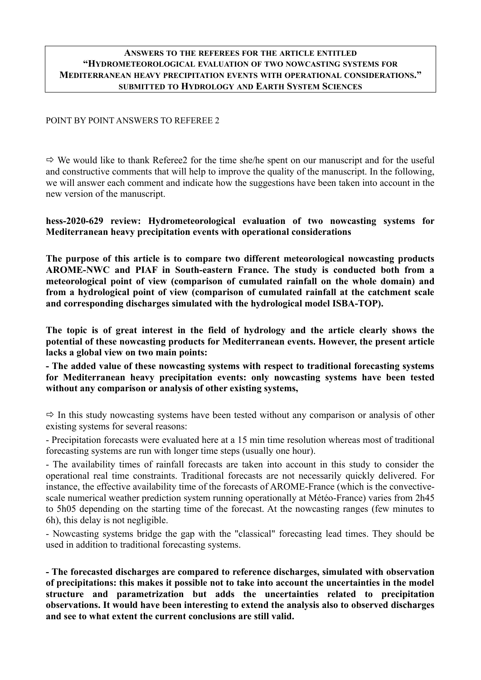#### **ANSWERS TO THE REFEREES FOR THE ARTICLE ENTITLED "HYDROMETEOROLOGICAL EVALUATION OF TWO NOWCASTING SYSTEMS FOR MEDITERRANEAN HEAVY PRECIPITATION EVENTS WITH OPERATIONAL CONSIDERATIONS." SUBMITTED TO HYDROLOGY AND EARTH SYSTEM SCIENCES**

#### POINT BY POINT ANSWERS TO REFEREE 2

 $\Rightarrow$  We would like to thank Referee2 for the time she/he spent on our manuscript and for the useful and constructive comments that will help to improve the quality of the manuscript. In the following, we will answer each comment and indicate how the suggestions have been taken into account in the new version of the manuscript.

**hess-2020-629 review: Hydrometeorological evaluation of two nowcasting systems for Mediterranean heavy precipitation events with operational considerations**

**The purpose of this article is to compare two different meteorological nowcasting products AROME-NWC and PIAF in South-eastern France. The study is conducted both from a meteorological point of view (comparison of cumulated rainfall on the whole domain) and from a hydrological point of view (comparison of cumulated rainfall at the catchment scale and corresponding discharges simulated with the hydrological model ISBA-TOP).**

**The topic is of great interest in the field of hydrology and the article clearly shows the potential of these nowcasting products for Mediterranean events. However, the present article lacks a global view on two main points:**

**- The added value of these nowcasting systems with respect to traditional forecasting systems for Mediterranean heavy precipitation events: only nowcasting systems have been tested without any comparison or analysis of other existing systems,**

 $\Rightarrow$  In this study nowcasting systems have been tested without any comparison or analysis of other existing systems for several reasons:

- Precipitation forecasts were evaluated here at a 15 min time resolution whereas most of traditional forecasting systems are run with longer time steps (usually one hour).

- The availability times of rainfall forecasts are taken into account in this study to consider the operational real time constraints. Traditional forecasts are not necessarily quickly delivered. For instance, the effective availability time of the forecasts of AROME-France (which is the convectivescale numerical weather prediction system running operationally at Météo-France) varies from 2h45 to 5h05 depending on the starting time of the forecast. At the nowcasting ranges (few minutes to 6h), this delay is not negligible.

- Nowcasting systems bridge the gap with the "classical" forecasting lead times. They should be used in addition to traditional forecasting systems.

**- The forecasted discharges are compared to reference discharges, simulated with observation of precipitations: this makes it possible not to take into account the uncertainties in the model structure and parametrization but adds the uncertainties related to precipitation observations. It would have been interesting to extend the analysis also to observed discharges and see to what extent the current conclusions are still valid.**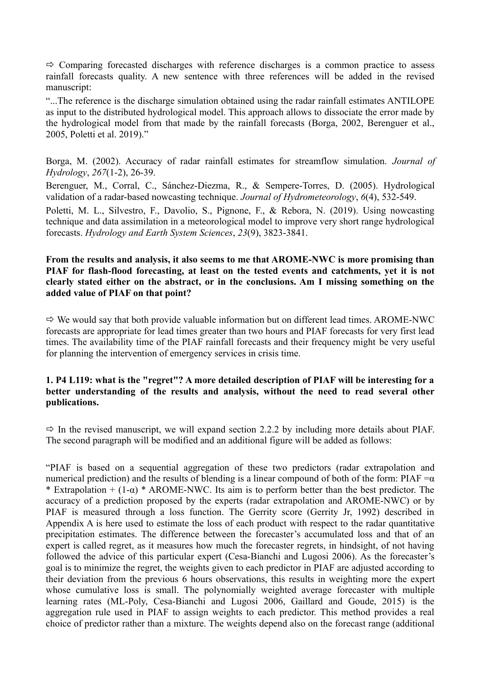$\Rightarrow$  Comparing forecasted discharges with reference discharges is a common practice to assess rainfall forecasts quality. A new sentence with three references will be added in the revised manuscript:

"...The reference is the discharge simulation obtained using the radar rainfall estimates ANTILOPE as input to the distributed hydrological model. This approach allows to dissociate the error made by the hydrological model from that made by the rainfall forecasts (Borga, 2002, Berenguer et al., 2005, Poletti et al. 2019)."

Borga, M. (2002). Accuracy of radar rainfall estimates for streamflow simulation. *Journal of Hydrology*, *267*(1-2), 26-39.

Berenguer, M., Corral, C., Sánchez-Diezma, R., & Sempere-Torres, D. (2005). Hydrological validation of a radar-based nowcasting technique. *Journal of Hydrometeorology*, *6*(4), 532-549.

Poletti, M. L., Silvestro, F., Davolio, S., Pignone, F., & Rebora, N. (2019). Using nowcasting technique and data assimilation in a meteorological model to improve very short range hydrological forecasts. *Hydrology and Earth System Sciences*, *23*(9), 3823-3841.

### **From the results and analysis, it also seems to me that AROME-NWC is more promising than PIAF for flash-flood forecasting, at least on the tested events and catchments, yet it is not clearly stated either on the abstract, or in the conclusions. Am I missing something on the added value of PIAF on that point?**

 $\Rightarrow$  We would say that both provide valuable information but on different lead times. AROME-NWC forecasts are appropriate for lead times greater than two hours and PIAF forecasts for very first lead times. The availability time of the PIAF rainfall forecasts and their frequency might be very useful for planning the intervention of emergency services in crisis time.

### **1. P4 L119: what is the "regret"? A more detailed description of PIAF will be interesting for a better understanding of the results and analysis, without the need to read several other publications.**

 $\Rightarrow$  In the revised manuscript, we will expand section 2.2.2 by including more details about PIAF. The second paragraph will be modified and an additional figure will be added as follows:

"PIAF is based on a sequential aggregation of these two predictors (radar extrapolation and numerical prediction) and the results of blending is a linear compound of both of the form: PIAF = $\alpha$ \* Extrapolation +  $(1-\alpha)$  \* AROME-NWC. Its aim is to perform better than the best predictor. The accuracy of a prediction proposed by the experts (radar extrapolation and AROME-NWC) or by PIAF is measured through a loss function. The Gerrity score (Gerrity Jr, 1992) described in Appendix A is here used to estimate the loss of each product with respect to the radar quantitative precipitation estimates. The difference between the forecaster's accumulated loss and that of an expert is called regret, as it measures how much the forecaster regrets, in hindsight, of not having followed the advice of this particular expert (Cesa-Bianchi and Lugosi 2006). As the forecaster's goal is to minimize the regret, the weights given to each predictor in PIAF are adjusted according to their deviation from the previous 6 hours observations, this results in weighting more the expert whose cumulative loss is small. The polynomially weighted average forecaster with multiple learning rates (ML-Poly, Cesa-Bianchi and Lugosi 2006, Gaillard and Goude, 2015) is the aggregation rule used in PIAF to assign weights to each predictor. This method provides a real choice of predictor rather than a mixture. The weights depend also on the forecast range (additional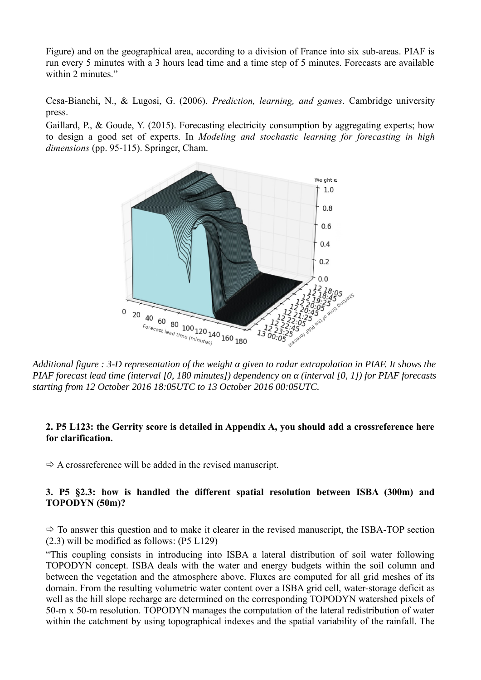Figure) and on the geographical area, according to a division of France into six sub-areas. PIAF is run every 5 minutes with a 3 hours lead time and a time step of 5 minutes. Forecasts are available within 2 minutes."

Cesa-Bianchi, N., & Lugosi, G. (2006). *Prediction, learning, and games*. Cambridge university press.

Gaillard, P., & Goude, Y. (2015). Forecasting electricity consumption by aggregating experts; how to design a good set of experts. In *Modeling and stochastic learning for forecasting in high dimensions* (pp. 95-115). Springer, Cham.



*Additional figure : 3-D representation of the weight α given to radar extrapolation in PIAF. It shows the PIAF forecast lead time (interval [0, 180 minutes]) dependency on α (interval [0, 1]) for PIAF forecasts starting from 12 October 2016 18:05UTC to 13 October 2016 00:05UTC.*

## **2. P5 L123: the Gerrity score is detailed in Appendix A, you should add a crossreference here for clarification.**

 $\Rightarrow$  A crossreference will be added in the revised manuscript.

## **3. P5 §2.3: how is handled the different spatial resolution between ISBA (300m) and TOPODYN (50m)?**

 $\Rightarrow$  To answer this question and to make it clearer in the revised manuscript, the ISBA-TOP section (2.3) will be modified as follows: (P5 L129)

"This coupling consists in introducing into ISBA a lateral distribution of soil water following TOPODYN concept. ISBA deals with the water and energy budgets within the soil column and between the vegetation and the atmosphere above. Fluxes are computed for all grid meshes of its domain. From the resulting volumetric water content over a ISBA grid cell, water-storage deficit as well as the hill slope recharge are determined on the corresponding TOPODYN watershed pixels of 50-m x 50-m resolution. TOPODYN manages the computation of the lateral redistribution of water within the catchment by using topographical indexes and the spatial variability of the rainfall. The